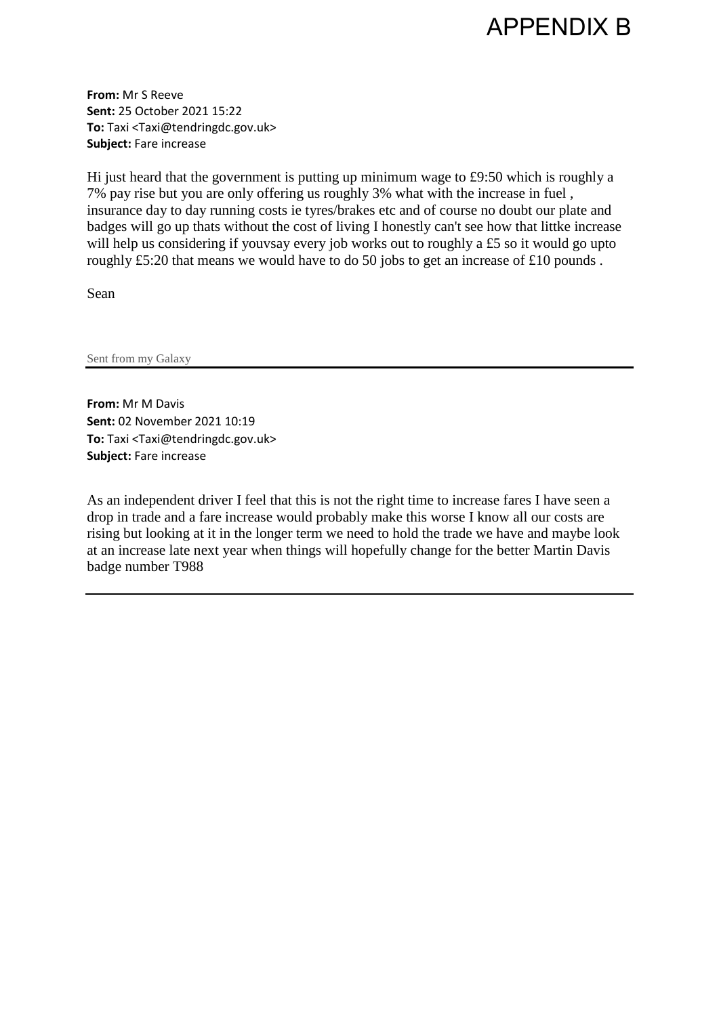

**From:** Mr S Reeve **Sent:** 25 October 2021 15:22 **To:** Taxi <Taxi@tendringdc.gov.uk> **Subject:** Fare increase

Hi just heard that the government is putting up minimum wage to £9:50 which is roughly a 7% pay rise but you are only offering us roughly 3% what with the increase in fuel , insurance day to day running costs ie tyres/brakes etc and of course no doubt our plate and badges will go up thats without the cost of living I honestly can't see how that littke increase will help us considering if youvsay every job works out to roughly a £5 so it would go upto roughly £5:20 that means we would have to do 50 jobs to get an increase of £10 pounds .

Sean

Sent from my Galaxy

**From:** Mr M Davis **Sent:** 02 November 2021 10:19 **To:** Taxi <Taxi@tendringdc.gov.uk> **Subject:** Fare increase

As an independent driver I feel that this is not the right time to increase fares I have seen a drop in trade and a fare increase would probably make this worse I know all our costs are rising but looking at it in the longer term we need to hold the trade we have and maybe look at an increase late next year when things will hopefully change for the better Martin Davis badge number T988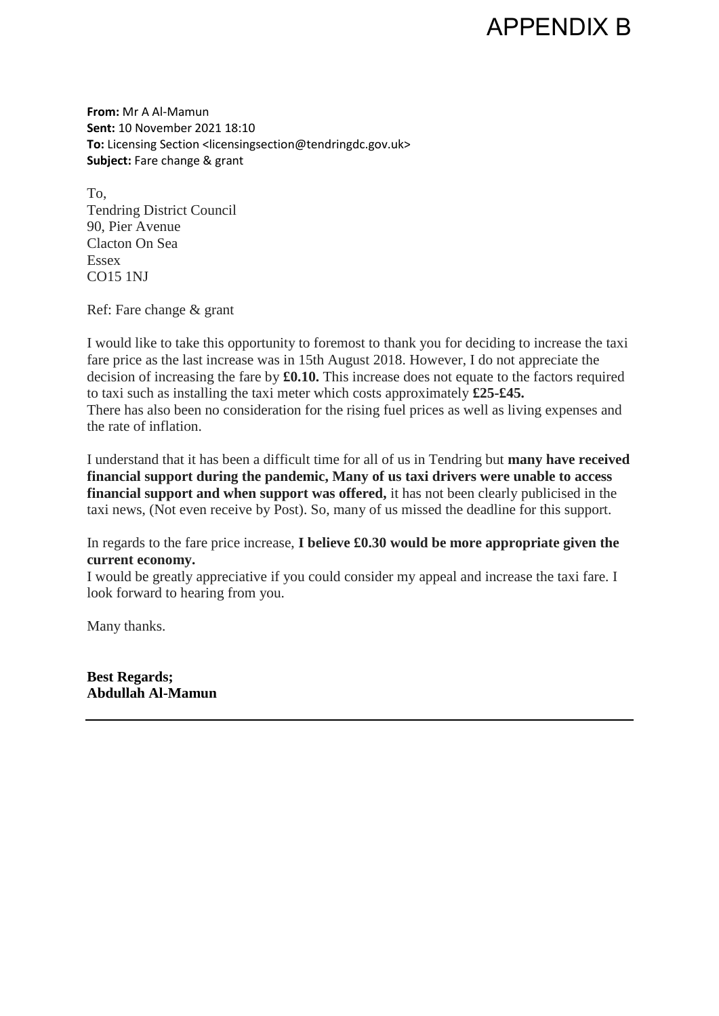## APPENDIX B

**From:** Mr A Al-Mamun **Sent:** 10 November 2021 18:10 **To:** Licensing Section <licensingsection@tendringdc.gov.uk> **Subject:** Fare change & grant

To, Tendring District Council 90, Pier Avenue Clacton On Sea Essex CO15 1NJ

Ref: Fare change & grant

I would like to take this opportunity to foremost to thank you for deciding to increase the taxi fare price as the last increase was in 15th August 2018. However, I do not appreciate the decision of increasing the fare by **£0.10.** This increase does not equate to the factors required to taxi such as installing the taxi meter which costs approximately **£25-£45.**  There has also been no consideration for the rising fuel prices as well as living expenses and the rate of inflation.

I understand that it has been a difficult time for all of us in Tendring but **many have received financial support during the pandemic, Many of us taxi drivers were unable to access financial support and when support was offered,** it has not been clearly publicised in the taxi news, (Not even receive by Post). So, many of us missed the deadline for this support.

In regards to the fare price increase, **I believe £0.30 would be more appropriate given the current economy.**

I would be greatly appreciative if you could consider my appeal and increase the taxi fare. I look forward to hearing from you.

Many thanks.

**Best Regards; Abdullah Al-Mamun**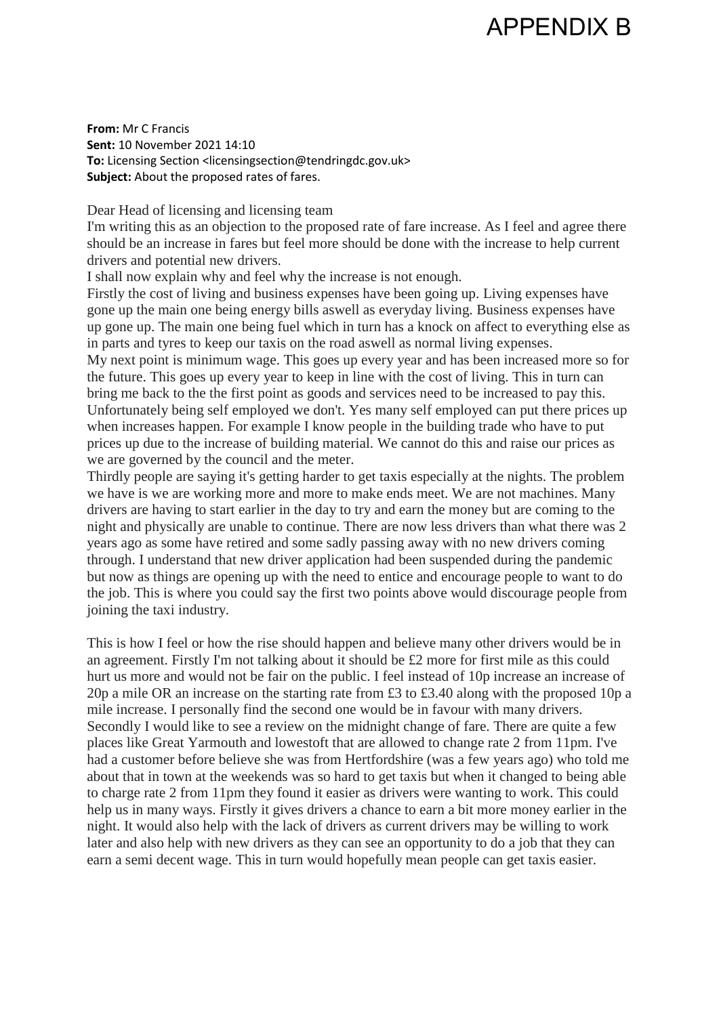## APPENDIX B

**From:** Mr C Francis **Sent:** 10 November 2021 14:10 To: Licensing Section <licensingsection@tendringdc.gov.uk> **Subject:** About the proposed rates of fares.

Dear Head of licensing and licensing team

I'm writing this as an objection to the proposed rate of fare increase. As I feel and agree there should be an increase in fares but feel more should be done with the increase to help current drivers and potential new drivers.

I shall now explain why and feel why the increase is not enough.

Firstly the cost of living and business expenses have been going up. Living expenses have gone up the main one being energy bills aswell as everyday living. Business expenses have up gone up. The main one being fuel which in turn has a knock on affect to everything else as in parts and tyres to keep our taxis on the road aswell as normal living expenses. My next point is minimum wage. This goes up every year and has been increased more so for

the future. This goes up every year to keep in line with the cost of living. This in turn can bring me back to the the first point as goods and services need to be increased to pay this. Unfortunately being self employed we don't. Yes many self employed can put there prices up when increases happen. For example I know people in the building trade who have to put prices up due to the increase of building material. We cannot do this and raise our prices as we are governed by the council and the meter.

Thirdly people are saying it's getting harder to get taxis especially at the nights. The problem we have is we are working more and more to make ends meet. We are not machines. Many drivers are having to start earlier in the day to try and earn the money but are coming to the night and physically are unable to continue. There are now less drivers than what there was 2 years ago as some have retired and some sadly passing away with no new drivers coming through. I understand that new driver application had been suspended during the pandemic but now as things are opening up with the need to entice and encourage people to want to do the job. This is where you could say the first two points above would discourage people from joining the taxi industry.

This is how I feel or how the rise should happen and believe many other drivers would be in an agreement. Firstly I'm not talking about it should be £2 more for first mile as this could hurt us more and would not be fair on the public. I feel instead of 10p increase an increase of 20p a mile OR an increase on the starting rate from £3 to £3.40 along with the proposed 10p a mile increase. I personally find the second one would be in favour with many drivers. Secondly I would like to see a review on the midnight change of fare. There are quite a few places like Great Yarmouth and lowestoft that are allowed to change rate 2 from 11pm. I've had a customer before believe she was from Hertfordshire (was a few years ago) who told me about that in town at the weekends was so hard to get taxis but when it changed to being able to charge rate 2 from 11pm they found it easier as drivers were wanting to work. This could help us in many ways. Firstly it gives drivers a chance to earn a bit more money earlier in the night. It would also help with the lack of drivers as current drivers may be willing to work later and also help with new drivers as they can see an opportunity to do a job that they can earn a semi decent wage. This in turn would hopefully mean people can get taxis easier.